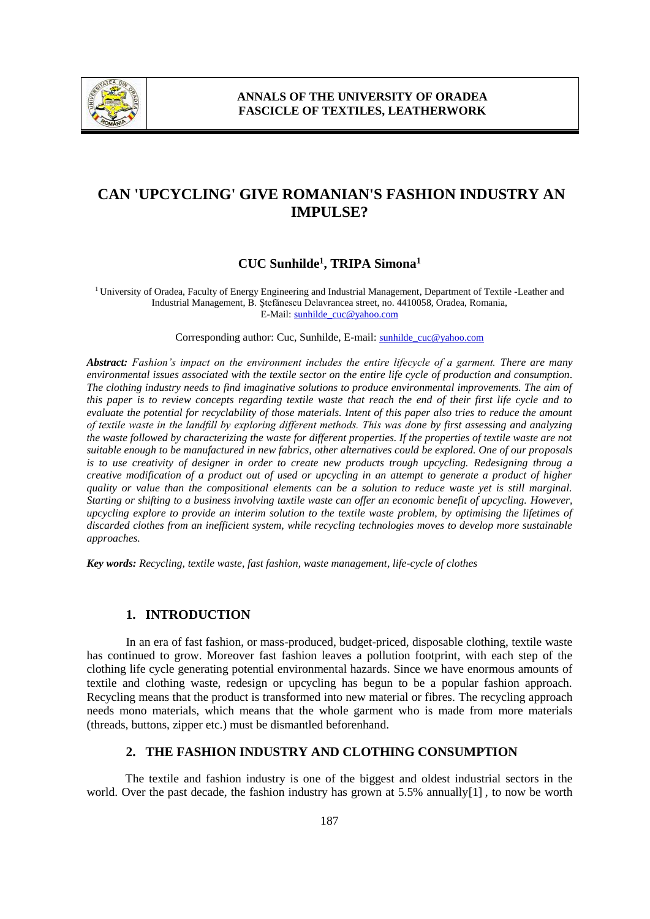

# **CAN 'UPCYCLING' GIVE ROMANIAN'S FASHION INDUSTRY AN IMPULSE?**

## **CUC Sunhilde 1 , TRIPA Simona<sup>1</sup>**

<sup>1</sup>University of Oradea, Faculty of Energy Engineering and Industrial Management, Department of Textile -Leather and Industrial Management, B. Ştefănescu Delavrancea street, no. 4410058, Oradea, Romania, E-Mail: sunhilde\_cuc@yahoo.com

Corresponding author: Cuc, Sunhilde, E-mail: sunhilde\_cuc@yahoo.com

*Abstract: Fashion's impact on the environment includes the entire lifecycle of a garment. There are many environmental issues associated with the textile sector on the entire life cycle of production and consumption. The clothing industry needs to find imaginative solutions to produce environmental improvements. The aim of this paper is to review concepts regarding textile waste that reach the end of their first life cycle and to evaluate the potential for recyclability of those materials. Intent of this paper also tries to reduce the amount of textile waste in the landfill by exploring different methods. This was done by first assessing and analyzing the waste followed by characterizing the waste for different properties. If the properties of textile waste are not suitable enough to be manufactured in new fabrics, other alternatives could be explored. One of our proposals is to use creativity of designer in order to create new products trough upcycling. Redesigning throug a creative modification of a product out of used or upcycling in an attempt to generate a product of higher quality or value than the compositional elements can be a solution to reduce waste yet is still marginal. Starting or shifting to a business involving taxtile waste can offer an economic benefit of upcycling. However, upcycling explore to provide an interim solution to the textile waste problem, by optimising the lifetimes of discarded clothes from an inefficient system, while recycling technologies moves to develop more sustainable approaches.*

*Key words: Recycling, textile waste, fast fashion, waste management, life-cycle of clothes*

#### **1. INTRODUCTION**

In an era of fast fashion, or mass-produced, budget-priced, disposable clothing, textile waste has continued to grow. Moreover fast fashion leaves a pollution footprint, with each step of the clothing life cycle generating potential environmental hazards. Since we have enormous amounts of textile and clothing waste, redesign or upcycling has begun to be a popular fashion approach. Recycling means that the product is transformed into new material or fibres. The recycling approach needs mono materials, which means that the whole garment who is made from more materials (threads, buttons, zipper etc.) must be dismantled beforenhand.

### **2. THE FASHION INDUSTRY AND CLOTHING CONSUMPTION**

The textile and fashion industry is one of the biggest and oldest industrial sectors in the world. Over the past decade, the fashion industry has grown at 5.5% annually[1] , to now be worth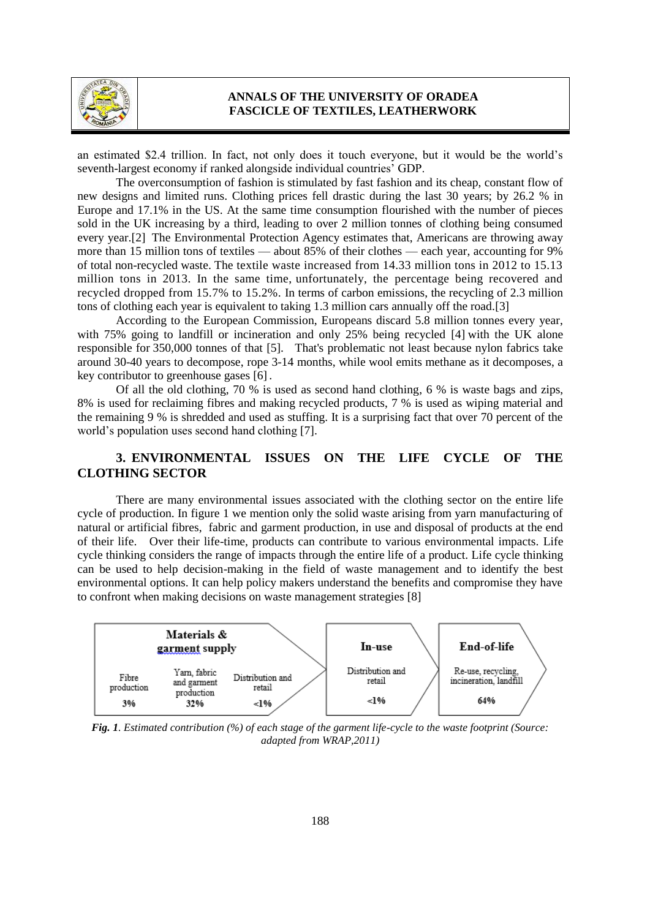

an estimated \$2.4 trillion. In fact, not only does it touch everyone, but it would be the world's seventh-largest economy if ranked alongside individual countries' GDP.

The overconsumption of fashion is stimulated by fast fashion and its cheap, constant flow of new designs and limited runs. Clothing prices fell drastic during the last 30 years; by 26.2 % in Europe and 17.1% in the US. At the same time consumption flourished with the number of pieces sold in the UK increasing by a third, leading to over 2 million tonnes of clothing being consumed every year.[2] The Environmental Protection Agency estimates that, Americans are throwing away more than 15 million tons of textiles — about 85% of their clothes — each year, accounting for 9% of total non-recycled waste. The textile waste increased from 14.33 million tons in 2012 to 15.13 million tons in 2013. In the same time, unfortunately, the percentage being recovered and recycled dropped from 15.7% to 15.2%. In terms of carbon emissions, the recycling of 2.3 million tons of clothing each year is equivalent to taking 1.3 million cars annually off the road.[3]

According to the European Commission, Europeans discard 5.8 million tonnes every year, with 75% going to landfill or incineration and only 25% being recycled [4] with the UK alone responsible for 350,000 tonnes of that [5]. That's problematic not least because nylon fabrics take around 30-40 years to decompose, rope 3-14 months, while wool emits methane as it decomposes, a key contributor to greenhouse gases [6].

Of all the old clothing, 70 % is used as second hand clothing, 6 % is waste bags and zips, 8% is used for reclaiming fibres and making recycled products, 7 % is used as wiping material and the remaining 9 % is shredded and used as stuffing. It is a surprising fact that over 70 percent of the world's population uses second hand clothing [7].

## **3. ENVIRONMENTAL ISSUES ON THE LIFE CYCLE OF THE CLOTHING SECTOR**

There are many environmental issues associated with the clothing sector on the entire life cycle of production. In figure 1 we mention only the solid waste arising from yarn manufacturing of natural or artificial fibres, fabric and garment production, in use and disposal of products at the end of their life. Over their life-time, products can contribute to various environmental impacts. Life cycle thinking considers the range of impacts through the entire life of a product. Life cycle thinking can be used to help decision-making in the field of waste management and to identify the best environmental options. It can help policy makers understand the benefits and compromise they have to confront when making decisions on waste management strategies [8]



*Fig. 1. Estimated contribution (%) of each stage of the garment life-cycle to the waste footprint (Source: adapted from WRAP,2011)*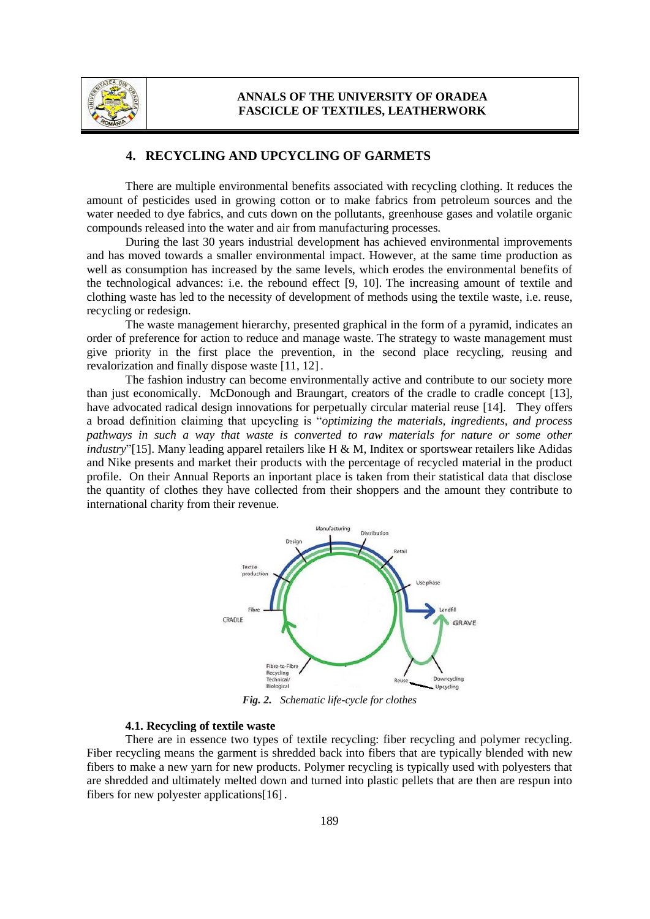

#### **4. RECYCLING AND UPCYCLING OF GARMETS**

There are multiple environmental benefits associated with recycling clothing. It reduces the amount of pesticides used in growing cotton or to make fabrics from petroleum sources and the water needed to dye fabrics, and cuts down on the pollutants, greenhouse gases and volatile organic compounds released into the water and air from manufacturing processes.

During the last 30 years industrial development has achieved environmental improvements and has moved towards a smaller environmental impact. However, at the same time production as well as consumption has increased by the same levels, which erodes the environmental benefits of the technological advances: i.e. the rebound effect [9, 10]. The increasing amount of textile and clothing waste has led to the necessity of development of methods using the textile waste, i.e. reuse, recycling or redesign.

The waste management hierarchy, presented graphical in the form of a pyramid, indicates an order of preference for action to reduce and manage waste. The strategy to waste management must give priority in the first place the prevention, in the second place recycling, reusing and revalorization and finally dispose waste [11, 12].

The fashion industry can become environmentally active and contribute to our society more than just economically. McDonough and Braungart, creators of the cradle to cradle concept [13], have advocated radical design innovations for perpetually circular material reuse [14]. They offers a broad definition claiming that upcycling is "*optimizing the materials, ingredients, and process pathways in such a way that waste is converted to raw materials for nature or some other industry*"[15]. Many leading apparel retailers like H & M, Inditex or sportswear retailers like Adidas and Nike presents and market their products with the percentage of recycled material in the product profile. On their Annual Reports an inportant place is taken from their statistical data that disclose the quantity of clothes they have collected from their shoppers and the amount they contribute to international charity from their revenue.



*Fig. 2. Schematic life-cycle for clothes*

#### **4.1. Recycling of textile waste**

There are in essence two types of textile recycling: fiber recycling and polymer recycling. Fiber recycling means the garment is shredded back into fibers that are typically blended with new fibers to make a new yarn for new products. Polymer recycling is typically used with polyesters that are shredded and ultimately melted down and turned into plastic pellets that are then are respun into fibers for new polyester applications[16] .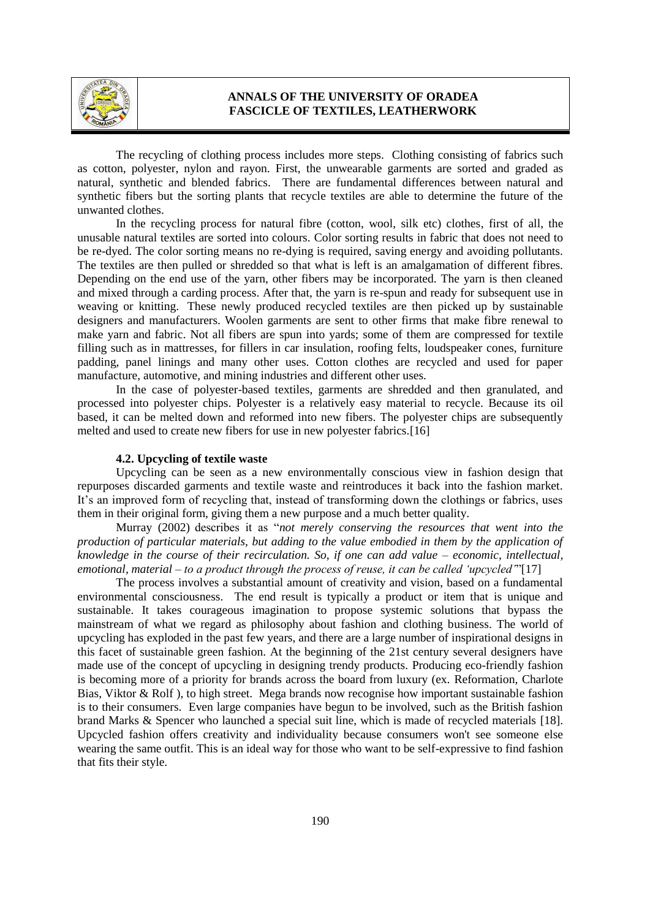

The recycling of clothing process includes more steps. Clothing consisting of fabrics such as cotton, polyester, nylon and rayon. First, the unwearable garments are sorted and graded as natural, synthetic and blended fabrics. There are fundamental differences between natural and synthetic fibers but the sorting plants that recycle textiles are able to determine the future of the unwanted clothes.

In the recycling process for natural fibre (cotton, wool, silk etc) clothes, first of all, the unusable natural textiles are sorted into colours. Color sorting results in fabric that does not need to be re-dyed. The color sorting means no re-dying is required, saving energy and avoiding pollutants. The textiles are then pulled or shredded so that what is left is an amalgamation of different fibres. Depending on the end use of the yarn, other fibers may be incorporated. The yarn is then cleaned and mixed through a carding process. After that, the yarn is re-spun and ready for subsequent use in weaving or knitting. These newly produced recycled textiles are then picked up by sustainable designers and manufacturers. Woolen garments are sent to other firms that make fibre renewal to make yarn and fabric. Not all fibers are spun into yards; some of them are compressed for textile filling such as in mattresses, for fillers in car insulation, roofing felts, loudspeaker cones, furniture padding, panel linings and many other uses. Cotton clothes are recycled and used for paper manufacture, automotive, and mining industries and different other uses.

In the case of polyester-based textiles, garments are shredded and then granulated, and processed into polyester chips. Polyester is a relatively easy material to recycle. Because its oil based, it can be melted down and reformed into new fibers. The polyester chips are subsequently melted and used to create new fibers for use in new polyester fabrics.[16]

#### **4.2. Upcycling of textile waste**

Upcycling can be seen as a new environmentally conscious view in fashion design that repurposes discarded garments and textile waste and reintroduces it back into the fashion market. It's an improved form of recycling that, instead of transforming down the clothings or fabrics, uses them in their original form, giving them a new purpose and a much better quality.

Murray (2002) describes it as "*not merely conserving the resources that went into the production of particular materials, but adding to the value embodied in them by the application of knowledge in the course of their recirculation. So, if one can add value – economic, intellectual, emotional, material – to a product through the process of reuse, it can be called 'upcycled'*"[17]

The process involves a substantial amount of creativity and vision, based on a fundamental environmental consciousness. The end result is typically a product or item that is unique and sustainable. It takes courageous imagination to propose systemic solutions that bypass the mainstream of what we regard as philosophy about fashion and clothing business. The world of upcycling has exploded in the past few years, and there are a large number of inspirational designs in this facet of sustainable green fashion. At the beginning of the 21st century several designers have made use of the concept of upcycling in designing trendy products. Producing eco-friendly fashion is becoming more of a priority for brands across the board from luxury (ex. Reformation, Charlote Bias, Viktor & Rolf ), to high street. Mega brands now recognise how important sustainable fashion is to their consumers. Even large companies have begun to be involved, such as the British fashion brand Marks & Spencer who launched a special suit line, which is made of recycled materials [18]. Upcycled fashion offers creativity and individuality because consumers won't see someone else wearing the same outfit. This is an ideal way for those who want to be self-expressive to find fashion that fits their style.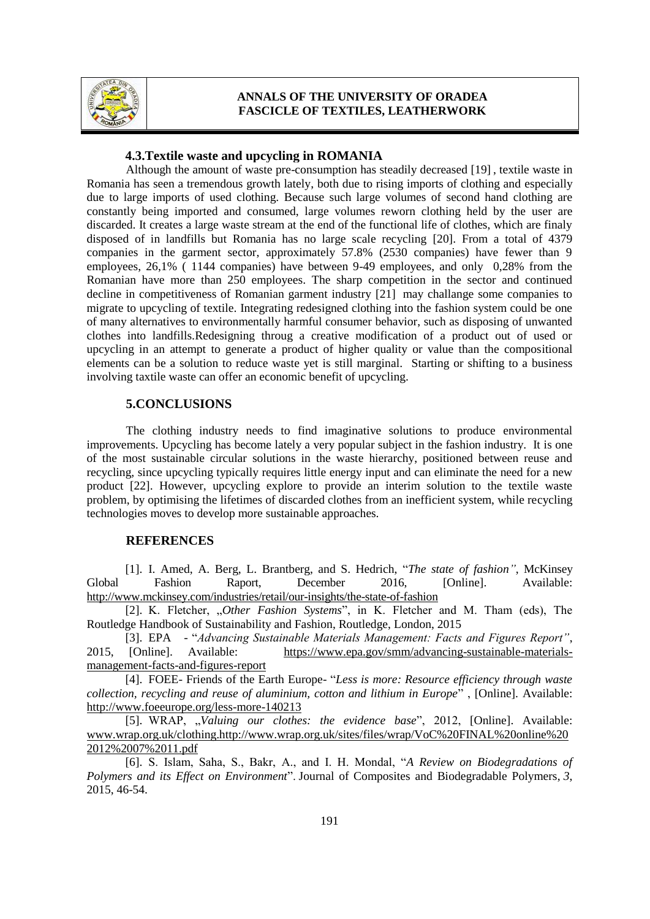

#### **4.3.Textile waste and upcycling in ROMANIA**

Although the amount of waste pre-consumption has steadily decreased [19] , textile waste in Romania has seen a tremendous growth lately, both due to rising imports of clothing and especially due to large imports of used clothing. Because such large volumes of second hand clothing are constantly being imported and consumed, large volumes reworn clothing held by the user are discarded. It creates a large waste stream at the end of the functional life of clothes, which are finaly disposed of in landfills but Romania has no large scale recycling [20]. From a total of 4379 companies in the garment sector, approximately 57.8% (2530 companies) have fewer than 9 employees, 26,1% ( 1144 companies) have between 9-49 employees, and only 0,28% from the Romanian have more than 250 employees. The sharp competition in the sector and continued decline in competitiveness of Romanian garment industry [21] may challange some companies to migrate to upcycling of textile. Integrating redesigned clothing into the fashion system could be one of many alternatives to environmentally harmful consumer behavior, such as disposing of unwanted clothes into landfills.Redesigning throug a creative modification of a product out of used or upcycling in an attempt to generate a product of higher quality or value than the compositional elements can be a solution to reduce waste yet is still marginal. Starting or shifting to a business involving taxtile waste can offer an economic benefit of upcycling.

#### **5.CONCLUSIONS**

The clothing industry needs to find imaginative solutions to produce environmental improvements. Upcycling has become lately a very popular subject in the fashion industry. It is one of the most sustainable circular solutions in the waste hierarchy, positioned between reuse and recycling, since upcycling typically requires little energy input and can eliminate the need for a new product [22]. However, upcycling explore to provide an interim solution to the textile waste problem, by optimising the lifetimes of discarded clothes from an inefficient system, while recycling technologies moves to develop more sustainable approaches.

#### **REFERENCES**

[1]. I. Amed, A. Berg, L. Brantberg, and S. Hedrich, "*The state of fashion"*, McKinsey Global Fashion Raport, December 2016, [Online]. Available: <http://www.mckinsey.com/industries/retail/our-insights/the-state-of-fashion>

[2]. K. Fletcher, "*Other Fashion Systems*", in K. Fletcher and M. Tham (eds), The Routledge Handbook of Sustainability and Fashion, Routledge, London, 2015

[3]. EPA - "*Advancing Sustainable Materials Management: Facts and Figures Report"*, 2015, [Online]. Available: [https://www.epa.gov/smm/advancing-sustainable-materials](https://www.epa.gov/smm/advancing-sustainable-materials-management-facts-and-figures-report)[management-facts-and-figures-report](https://www.epa.gov/smm/advancing-sustainable-materials-management-facts-and-figures-report)

[4]. FOEE- Friends of the Earth Europe- "*Less is more: Resource efficiency through waste collection, recycling and reuse of aluminium, cotton and lithium in Europe*" , [Online]. Available: <http://www.foeeurope.org/less-more-140213>

[5]. WRAP, "Valuing our clothes: the evidence base", 2012, [Online]. Available: [www.wrap.org.uk/clothing.http://www.wrap.org.uk/sites/files/wrap/VoC%20FINAL%20online%20](http://www.wrap.org.uk/clothing.http:/www.wrap.org.uk/sites/files/wrap/VoC%20FINAL%20online%202012%2007%2011.pdf) [2012%2007%2011.pdf](http://www.wrap.org.uk/clothing.http:/www.wrap.org.uk/sites/files/wrap/VoC%20FINAL%20online%202012%2007%2011.pdf)

[6]. S. Islam, Saha, S., Bakr, A., and I. H. Mondal, "*A Review on Biodegradations of Polymers and its Effect on Environment*". Journal of Composites and Biodegradable Polymers, *3*, 2015, 46-54.